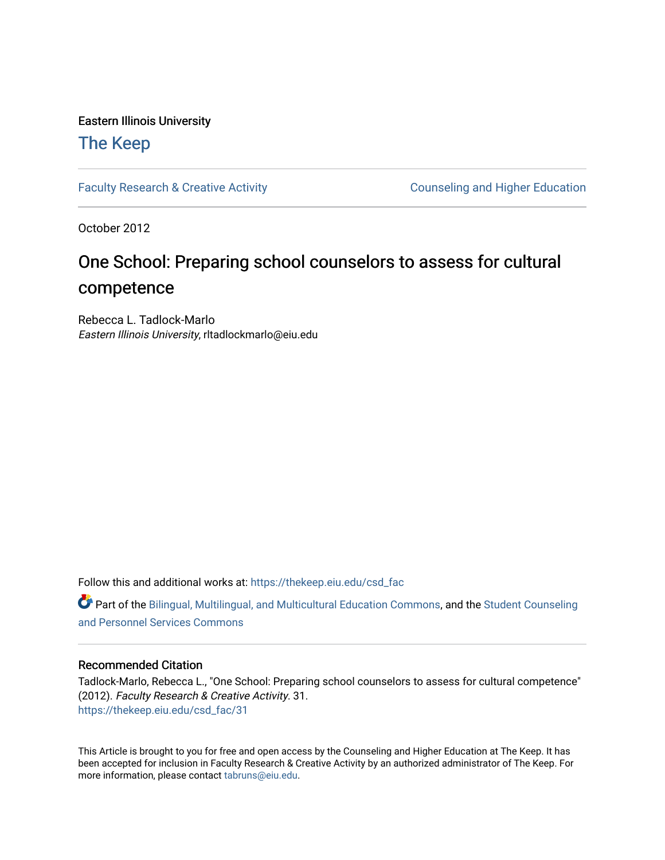### Eastern Illinois University

### [The Keep](https://thekeep.eiu.edu/)

[Faculty Research & Creative Activity](https://thekeep.eiu.edu/csd_fac) **Counseling and Higher Education** 

October 2012

### One School: Preparing school counselors to assess for cultural competence

Rebecca L. Tadlock-Marlo Eastern Illinois University, rltadlockmarlo@eiu.edu

Follow this and additional works at: [https://thekeep.eiu.edu/csd\\_fac](https://thekeep.eiu.edu/csd_fac?utm_source=thekeep.eiu.edu%2Fcsd_fac%2F31&utm_medium=PDF&utm_campaign=PDFCoverPages)

Part of the [Bilingual, Multilingual, and Multicultural Education Commons,](http://network.bepress.com/hgg/discipline/785?utm_source=thekeep.eiu.edu%2Fcsd_fac%2F31&utm_medium=PDF&utm_campaign=PDFCoverPages) and the [Student Counseling](http://network.bepress.com/hgg/discipline/802?utm_source=thekeep.eiu.edu%2Fcsd_fac%2F31&utm_medium=PDF&utm_campaign=PDFCoverPages) [and Personnel Services Commons](http://network.bepress.com/hgg/discipline/802?utm_source=thekeep.eiu.edu%2Fcsd_fac%2F31&utm_medium=PDF&utm_campaign=PDFCoverPages)

### Recommended Citation

Tadlock-Marlo, Rebecca L., "One School: Preparing school counselors to assess for cultural competence" (2012). Faculty Research & Creative Activity. 31. [https://thekeep.eiu.edu/csd\\_fac/31](https://thekeep.eiu.edu/csd_fac/31?utm_source=thekeep.eiu.edu%2Fcsd_fac%2F31&utm_medium=PDF&utm_campaign=PDFCoverPages) 

This Article is brought to you for free and open access by the Counseling and Higher Education at The Keep. It has been accepted for inclusion in Faculty Research & Creative Activity by an authorized administrator of The Keep. For more information, please contact [tabruns@eiu.edu](mailto:tabruns@eiu.edu).